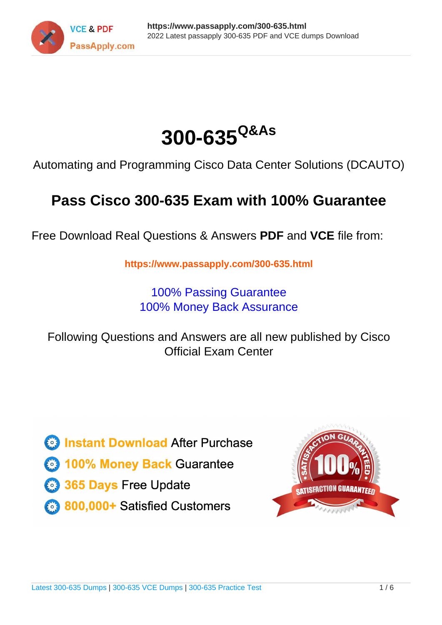



Automating and Programming Cisco Data Center Solutions (DCAUTO)

## **Pass Cisco 300-635 Exam with 100% Guarantee**

Free Download Real Questions & Answers **PDF** and **VCE** file from:

**https://www.passapply.com/300-635.html**

100% Passing Guarantee 100% Money Back Assurance

Following Questions and Answers are all new published by Cisco Official Exam Center

**C** Instant Download After Purchase **83 100% Money Back Guarantee** 

- 365 Days Free Update
- 800,000+ Satisfied Customers

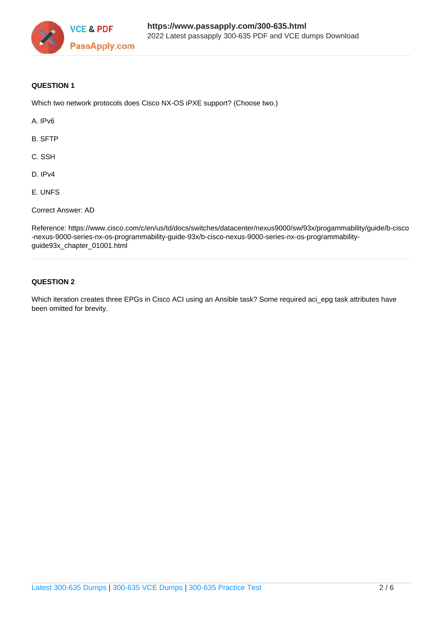

### **QUESTION 1**

Which two network protocols does Cisco NX-OS iPXE support? (Choose two.)

A. IPv6

- B. SFTP
- C. SSH
- D. IPv4
- E. UNFS

Correct Answer: AD

Reference: https://www.cisco.com/c/en/us/td/docs/switches/datacenter/nexus9000/sw/93x/progammability/guide/b-cisco -nexus-9000-series-nx-os-programmability-guide-93x/b-cisco-nexus-9000-series-nx-os-programmabilityguide93x\_chapter\_01001.html

#### **QUESTION 2**

Which iteration creates three EPGs in Cisco ACI using an Ansible task? Some required aci\_epg task attributes have been omitted for brevity.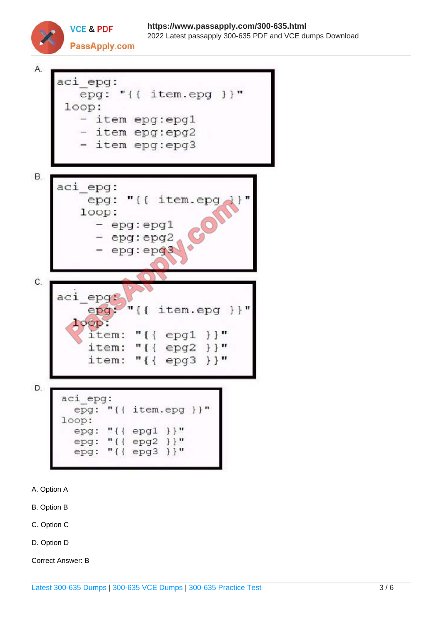**https://www.passapply.com/300-635.html** 2022 Latest passapply 300-635 PDF and VCE dumps Download

**VCE & PDF** PassApply.com



- A. Option A
- B. Option B
- C. Option C
- D. Option D

Correct Answer: B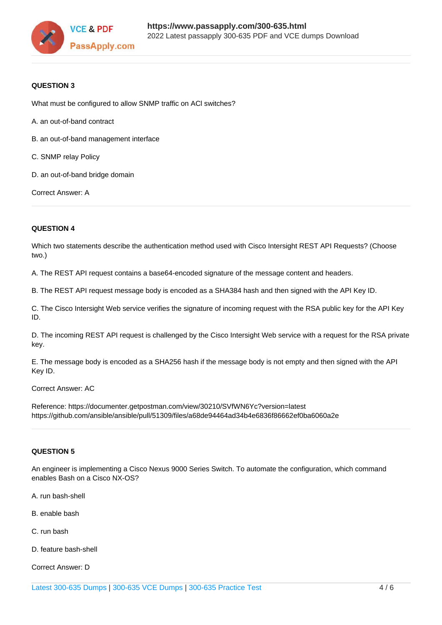

#### **QUESTION 3**

What must be configured to allow SNMP traffic on ACl switches?

- A. an out-of-band contract
- B. an out-of-band management interface
- C. SNMP relay Policy
- D. an out-of-band bridge domain

Correct Answer: A

#### **QUESTION 4**

Which two statements describe the authentication method used with Cisco Intersight REST API Requests? (Choose two.)

A. The REST API request contains a base64-encoded signature of the message content and headers.

B. The REST API request message body is encoded as a SHA384 hash and then signed with the API Key ID.

C. The Cisco Intersight Web service verifies the signature of incoming request with the RSA public key for the API Key ID.

D. The incoming REST API request is challenged by the Cisco Intersight Web service with a request for the RSA private key.

E. The message body is encoded as a SHA256 hash if the message body is not empty and then signed with the API Key ID.

### Correct Answer: AC

Reference: https://documenter.getpostman.com/view/30210/SVfWN6Yc?version=latest https://github.com/ansible/ansible/pull/51309/files/a68de94464ad34b4e6836f86662ef0ba6060a2e

#### **QUESTION 5**

An engineer is implementing a Cisco Nexus 9000 Series Switch. To automate the configuration, which command enables Bash on a Cisco NX-OS?

- A. run bash-shell
- B. enable bash
- C. run bash
- D. feature bash-shell

Correct Answer: D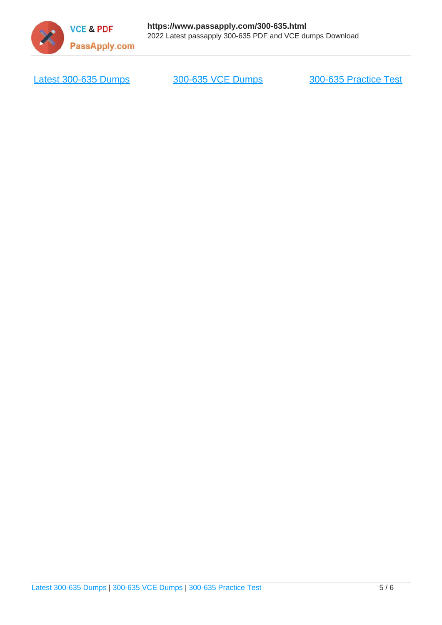

[Latest 300-635 Dumps](https://www.passapply.com/300-635.html) [300-635 VCE Dumps](https://www.passapply.com/300-635.html) [300-635 Practice Test](https://www.passapply.com/300-635.html)